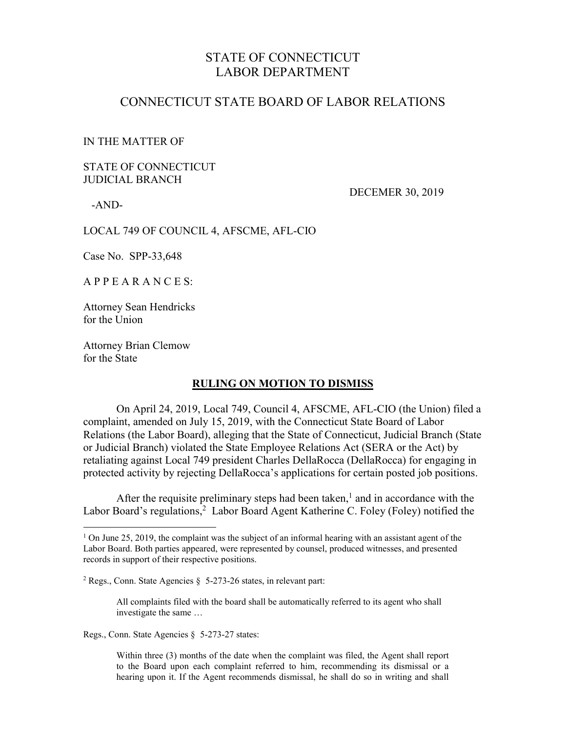# STATE OF CONNECTICUT LABOR DEPARTMENT

### CONNECTICUT STATE BOARD OF LABOR RELATIONS

#### IN THE MATTER OF

### STATE OF CONNECTICUT JUDICIAL BRANCH

-AND-

 $\overline{a}$ 

DECEMER 30, 2019

LOCAL 749 OF COUNCIL 4, AFSCME, AFL-CIO

Case No. SPP-33,648

A P P E A R A N C E S:

Attorney Sean Hendricks for the Union

Attorney Brian Clemow for the State

#### **RULING ON MOTION TO DISMISS**

On April 24, 2019, Local 749, Council 4, AFSCME, AFL-CIO (the Union) filed a complaint, amended on July 15, 2019, with the Connecticut State Board of Labor Relations (the Labor Board), alleging that the State of Connecticut, Judicial Branch (State or Judicial Branch) violated the State Employee Relations Act (SERA or the Act) by retaliating against Local 749 president Charles DellaRocca (DellaRocca) for engaging in protected activity by rejecting DellaRocca's applications for certain posted job positions.

After the requisite preliminary steps had been taken,<sup>1</sup> and in accordance with the Labor Board's regulations, ${}^{2}$  Labor Board Agent Katherine C. Foley (Foley) notified the

All complaints filed with the board shall be automatically referred to its agent who shall investigate the same …

Regs., Conn. State Agencies § 5-273-27 states:

Within three (3) months of the date when the complaint was filed, the Agent shall report to the Board upon each complaint referred to him, recommending its dismissal or a hearing upon it. If the Agent recommends dismissal, he shall do so in writing and shall

 $1$  On June 25, 2019, the complaint was the subject of an informal hearing with an assistant agent of the Labor Board. Both parties appeared, were represented by counsel, produced witnesses, and presented records in support of their respective positions.

<sup>&</sup>lt;sup>2</sup> Regs., Conn. State Agencies  $\S$  5-273-26 states, in relevant part: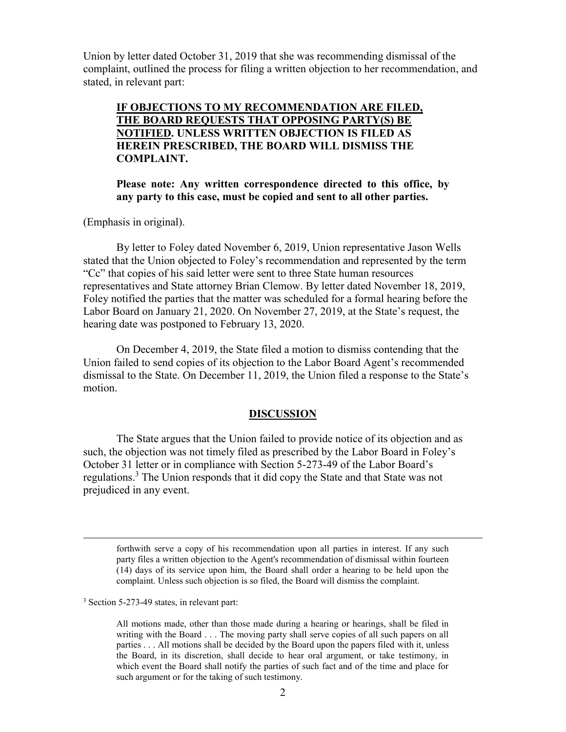Union by letter dated October 31, 2019 that she was recommending dismissal of the complaint, outlined the process for filing a written objection to her recommendation, and stated, in relevant part:

**IF OBJECTIONS TO MY RECOMMENDATION ARE FILED, THE BOARD REQUESTS THAT OPPOSING PARTY(S) BE NOTIFIED. UNLESS WRITTEN OBJECTION IS FILED AS HEREIN PRESCRIBED, THE BOARD WILL DISMISS THE COMPLAINT.**

**Please note: Any written correspondence directed to this office, by any party to this case, must be copied and sent to all other parties.**

(Emphasis in original).

By letter to Foley dated November 6, 2019, Union representative Jason Wells stated that the Union objected to Foley's recommendation and represented by the term "Cc" that copies of his said letter were sent to three State human resources representatives and State attorney Brian Clemow. By letter dated November 18, 2019, Foley notified the parties that the matter was scheduled for a formal hearing before the Labor Board on January 21, 2020. On November 27, 2019, at the State's request, the hearing date was postponed to February 13, 2020.

On December 4, 2019, the State filed a motion to dismiss contending that the Union failed to send copies of its objection to the Labor Board Agent's recommended dismissal to the State. On December 11, 2019, the Union filed a response to the State's motion.

#### **DISCUSSION**

The State argues that the Union failed to provide notice of its objection and as such, the objection was not timely filed as prescribed by the Labor Board in Foley's October 31 letter or in compliance with Section 5-273-49 of the Labor Board's regulations.<sup>3</sup> The Union responds that it did copy the State and that State was not prejudiced in any event.

forthwith serve a copy of his recommendation upon all parties in interest. If any such party files a written objection to the Agent's recommendation of dismissal within fourteen (14) days of its service upon him, the Board shall order a hearing to be held upon the complaint. Unless such objection is so filed, the Board will dismiss the complaint.

<sup>3</sup> Section 5-273-49 states, in relevant part:

 $\overline{a}$ 

All motions made, other than those made during a hearing or hearings, shall be filed in writing with the Board . . . The moving party shall serve copies of all such papers on all parties . . . All motions shall be decided by the Board upon the papers filed with it, unless the Board, in its discretion, shall decide to hear oral argument, or take testimony, in which event the Board shall notify the parties of such fact and of the time and place for such argument or for the taking of such testimony.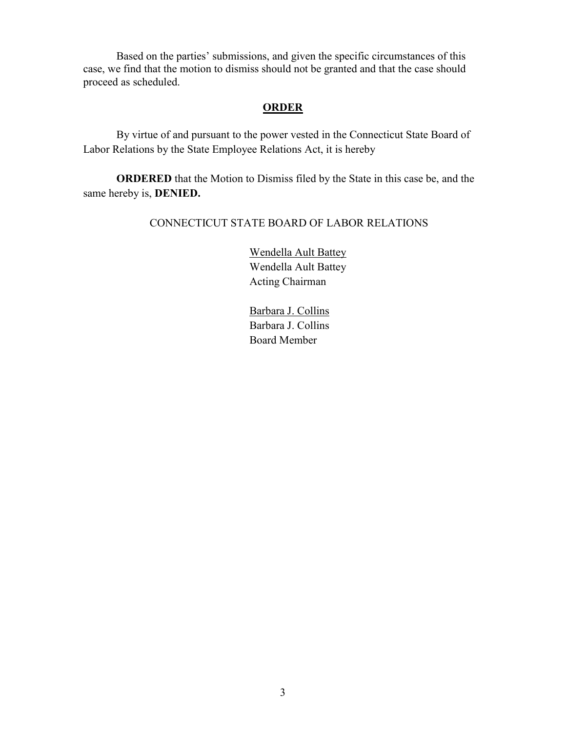Based on the parties' submissions, and given the specific circumstances of this case, we find that the motion to dismiss should not be granted and that the case should proceed as scheduled.

## **ORDER**

By virtue of and pursuant to the power vested in the Connecticut State Board of Labor Relations by the State Employee Relations Act, it is hereby

**ORDERED** that the Motion to Dismiss filed by the State in this case be, and the same hereby is, **DENIED.**

### CONNECTICUT STATE BOARD OF LABOR RELATIONS

Wendella Ault Battey Wendella Ault Battey Acting Chairman

Barbara J. Collins Barbara J. Collins Board Member